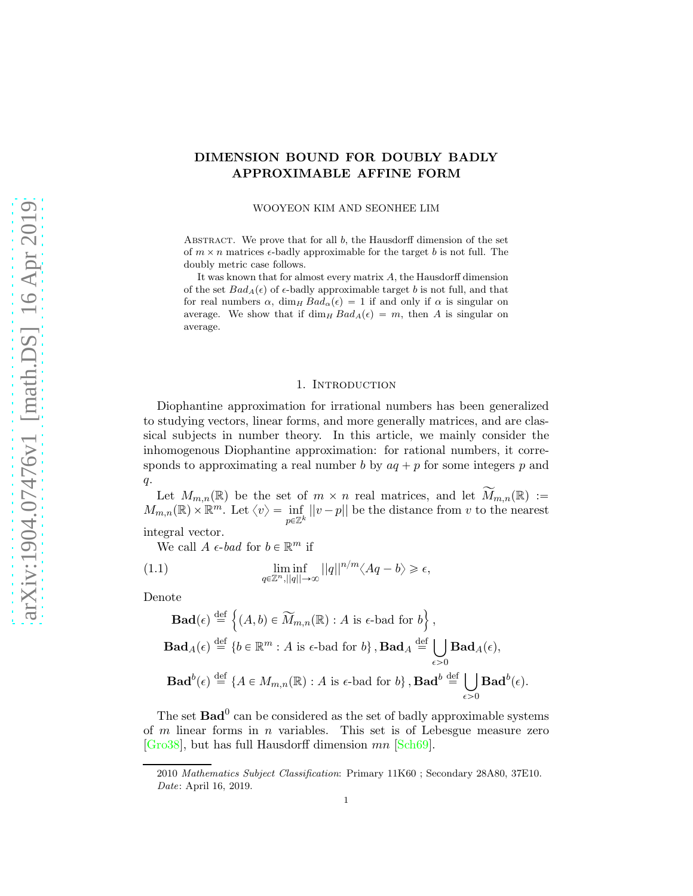# DIMENSION BOUND FOR DOUBLY BADLY APPROXIMABLE AFFINE FORM

WOOYEON KIM AND SEONHEE LIM

ABSTRACT. We prove that for all  $b$ , the Hausdorff dimension of the set of  $m \times n$  matrices  $\epsilon$ -badly approximable for the target b is not full. The doubly metric case follows.

It was known that for almost every matrix A, the Hausdorff dimension of the set  $Bad_A(\epsilon)$  of  $\epsilon$ -badly approximable target b is not full, and that for real numbers  $\alpha$ , dim<sub>H</sub>  $Bad_{\alpha}(\epsilon) = 1$  if and only if  $\alpha$  is singular on average. We show that if  $\dim_H Bad_A(\epsilon) = m$ , then A is singular on average.

### 1. Introduction

Diophantine approximation for irrational numbers has been generalized to studying vectors, linear forms, and more generally matrices, and are classical subjects in number theory. In this article, we mainly consider the inhomogenous Diophantine approximation: for rational numbers, it corresponds to approximating a real number b by  $aq + p$  for some integers p and  $q$ .

Let  $M_{m,n}(\mathbb{R})$  be the set of  $m \times n$  real matrices, and let  $\widetilde{M}_{m,n}(\mathbb{R}) :=$  $M_{m,n}(\mathbb{R}) \times \mathbb{R}^m$ . Let  $\langle v \rangle = \inf_{p \in \mathbb{Z}^k} ||v - p||$  be the distance from v to the nearest integral vector.

We call  $A \in bad$  for  $b \in \mathbb{R}^m$  if

(1.1) 
$$
\liminf_{q \in \mathbb{Z}^n, ||q|| \to \infty} ||q||^{n/m} \langle Aq - b \rangle \geq \epsilon,
$$

Denote

$$
\mathbf{Bad}(\epsilon) \stackrel{\text{def}}{=} \left\{ (A, b) \in \widetilde{M}_{m,n}(\mathbb{R}) : A \text{ is } \epsilon\text{-bad for } b \right\},\
$$
  

$$
\mathbf{Bad}_{A}(\epsilon) \stackrel{\text{def}}{=} \left\{ b \in \mathbb{R}^{m} : A \text{ is } \epsilon\text{-bad for } b \right\}, \mathbf{Bad}_{A} \stackrel{\text{def}}{=} \bigcup_{\epsilon > 0} \mathbf{Bad}_{A}(\epsilon),
$$
  

$$
\mathbf{Bad}^{b}(\epsilon) \stackrel{\text{def}}{=} \left\{ A \in M_{m,n}(\mathbb{R}) : A \text{ is } \epsilon\text{-bad for } b \right\}, \mathbf{Bad}^{b} \stackrel{\text{def}}{=} \bigcup_{\epsilon > 0} \mathbf{Bad}^{b}(\epsilon).
$$

The set  $\text{Bad}^0$  can be considered as the set of badly approximable systems of  $m$  linear forms in  $n$  variables. This set is of Lebesgue measure zero [\[Gro38\]](#page-15-0), but has full Hausdorff dimension mn [\[Sch69\]](#page-15-1).

<sup>2010</sup> Mathematics Subject Classification: Primary 11K60 ; Secondary 28A80, 37E10. Date: April 16, 2019.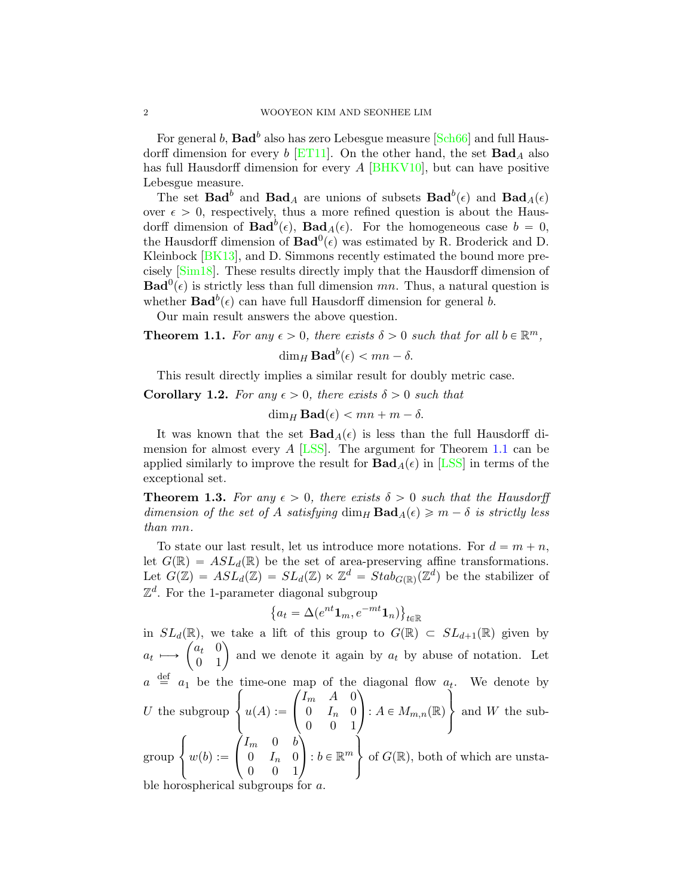For general  $b,$   $\mathbf{Bad}^b$  also has zero Lebesgue measure [\[Sch66\]](#page-15-2) and full Hausdorff dimension for every  $b$  [\[ET11\]](#page-15-3). On the other hand, the set  $\text{Bad}_A$  also has full Hausdorff dimension for every A [\[BHKV10\]](#page-14-0), but can have positive Lebesgue measure.

The set  $\textbf{Bad}^b$  and  $\textbf{Bad}_A$  are unions of subsets  $\textbf{Bad}^b(\epsilon)$  and  $\textbf{Bad}_A(\epsilon)$ over  $\epsilon > 0$ , respectively, thus a more refined question is about the Hausdorff dimension of  $\text{Bad}^{b}(\epsilon)$ ,  $\text{Bad}_{A}(\epsilon)$ . For the homogeneous case  $b = 0$ , the Hausdorff dimension of  $\text{Bad}^0(\epsilon)$  was estimated by R. Broderick and D. Kleinbock [\[BK13\]](#page-14-1), and D. Simmons recently estimated the bound more precisely [\[Sim18\]](#page-15-4). These results directly imply that the Hausdorff dimension of  $\text{Bad}^0(\epsilon)$  is strictly less than full dimension mn. Thus, a natural question is whether  $\text{Bad}^{b}(\epsilon)$  can have full Hausdorff dimension for general b.

Our main result answers the above question.

<span id="page-1-0"></span>**Theorem 1.1.** For any  $\epsilon > 0$ , there exists  $\delta > 0$  such that for all  $b \in \mathbb{R}^m$ ,

 $\dim_H \mathbf{Bad}^b(\epsilon) < mn - \delta.$ 

This result directly implies a similar result for doubly metric case.

**Corollary 1.2.** For any  $\epsilon > 0$ , there exists  $\delta > 0$  such that

 $\dim_H \textbf{Bad}(\epsilon) < mn + m - \delta.$ 

It was known that the set  $\text{Bad}_{A}(\epsilon)$  is less than the full Hausdorff di-mension for almost every A [\[LSS\]](#page-15-5). The argument for Theorem [1.1](#page-1-0) can be applied similarly to improve the result for  $\text{Bad}_{A}(\epsilon)$  in [\[LSS\]](#page-15-5) in terms of the exceptional set.

<span id="page-1-1"></span>**Theorem 1.3.** For any  $\epsilon > 0$ , there exists  $\delta > 0$  such that the Hausdorff dimension of the set of A satisfying  $\dim_H \textbf{Bad}_{A}(\epsilon) \geqslant m - \delta$  is strictly less than mn.

To state our last result, let us introduce more notations. For  $d = m + n$ , let  $G(\mathbb{R}) = ASL_d(\mathbb{R})$  be the set of area-preserving affine transformations. Let  $G(\mathbb{Z}) = ASL_d(\mathbb{Z}) = SL_d(\mathbb{Z}) \ltimes \mathbb{Z}^d = Stab_{G(\mathbb{R})}(\mathbb{Z}^d)$  be the stabilizer of  $\mathbb{Z}^d$ . For the 1-parameter diagonal subgroup

$$
\left\{a_t = \Delta(e^{nt}\mathbf{1}_m, e^{-mt}\mathbf{1}_n)\right\}_{t \in \mathbb{R}}
$$

in  $SL_d(\mathbb{R})$ , we take a lift of this group to  $G(\mathbb{R}) \subset SL_{d+1}(\mathbb{R})$  given by  $a_t \mapsto \begin{pmatrix} a_t & 0 \\ 0 & 1 \end{pmatrix}$  and we denote it again by  $a_t$  by abuse of notation. Let  $a \stackrel{\text{def}}{=} a_1$  be the time-one map of the diagonal flow  $a_t$ . We denote by  $U$  the subgroup  $\sqrt{ }$  $\frac{1}{2}$  $\left\lfloor \right\rfloor$  $u(A) :=$  $\sqrt{ }$  $\sqrt{2}$  $I_m$  *A* 0  $0 \t I_n \t 0$ 0 0 1  $\sqrt{2}$ :  $A \in M_{m,n}(\mathbb{R})$  $\tilde{ }$  $\mathcal{L}$  $\perp$ and W the subgroup  $\sqrt{ }$  $\frac{1}{2}$  $\left\lfloor \right\rfloor$  $w(b) :=$ ¨  $\mathbf{I}$  $I_m$  0 b  $0 \t I_n \t 0$ 0 0 1 ˛  $\cdot : b \in \mathbb{R}^m$  $\lambda$  $\mathbf{I}$  $\frac{1}{2}$ of  $G(\mathbb{R})$ , both of which are unstable horospherical subgroups for  $a$ .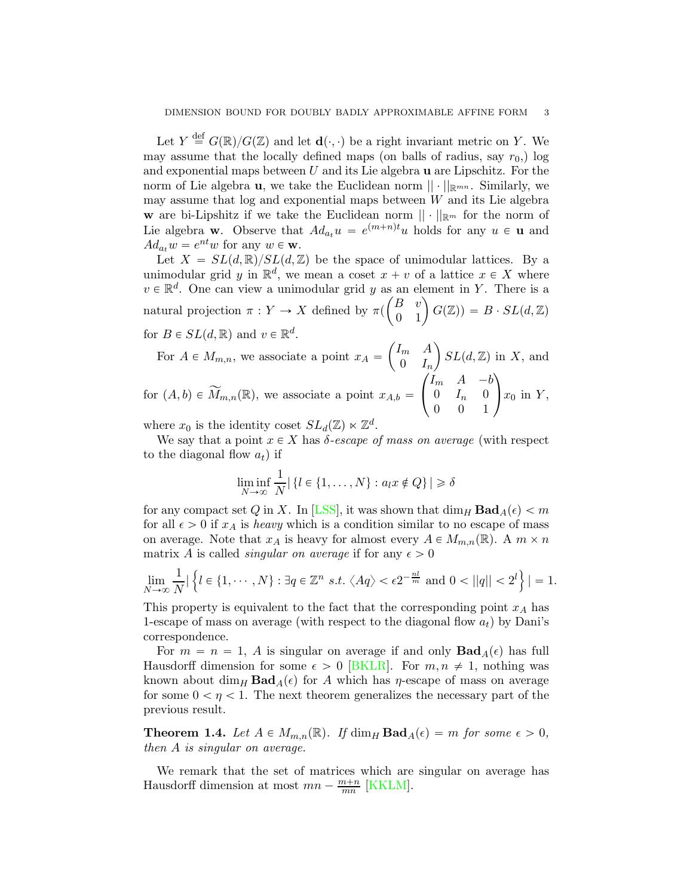Let  $Y \stackrel{\text{def}}{=} G(\mathbb{R})/G(\mathbb{Z})$  and let  $\mathbf{d}(\cdot, \cdot)$  be a right invariant metric on Y. We may assume that the locally defined maps (on balls of radius, say  $r_0$ ) log and exponential maps between  $U$  and its Lie algebra  $\bf{u}$  are Lipschitz. For the norm of Lie algebra **u**, we take the Euclidean norm  $|| \cdot ||_{\mathbb{R}^{mn}}$ . Similarly, we may assume that  $log$  and exponential maps between  $W$  and its Lie algebra w are bi-Lipshitz if we take the Euclidean norm  $\|\cdot\|_{\mathbb{R}^m}$  for the norm of Lie algebra **w**. Observe that  $Ad_{a_t}u = e^{(m+n)t}u$  holds for any  $u \in \mathbf{u}$  and  $Ad_{a_t} w = e^{nt} w$  for any  $w \in \mathbf{w}$ .

Let  $X = SL(d, \mathbb{R})/SL(d, \mathbb{Z})$  be the space of unimodular lattices. By a unimodular grid y in  $\mathbb{R}^d$ , we mean a coset  $x + v$  of a lattice  $x \in X$  where  $v \in \mathbb{R}^d$ . One can view a unimodular grid y as an element in Y. There is a natural projection  $\pi: Y \to X$  defined by  $\pi$  $\begin{pmatrix} B & v \\ 0 & 1 \end{pmatrix} G(\mathbb{Z})) = B \cdot SL(d, \mathbb{Z})$ for  $B \in SL(d, \mathbb{R})$  and  $v \in \mathbb{R}^d$ .

For  $A \in M_{m,n}$ , we associate a point  $x_A =$  $\int I_m$  A  $0 \quad I_n$  $\big)$   $SL(d,\mathbb{Z})$  in X, and for  $(A, b) \in \widetilde{M}_{m,n}(\mathbb{R})$ , we associate a point  $x_{A,b} =$  $\sqrt{ }$  $\mathbf{I}$  $I_m$   $A -b$  $0 \t I_n \t 0$ 0 0 1  $\setminus$  $x_0$  in Y,

where  $x_0$  is the identity coset  $SL_d(\mathbb{Z}) \ltimes \mathbb{Z}^d$ .

We say that a point  $x \in X$  has  $\delta$ -escape of mass on average (with respect to the diagonal flow  $a_t$ ) if

$$
\liminf_{N \to \infty} \frac{1}{N} | \{ l \in \{ 1, \dots, N \} : a_l x \notin Q \} | \ge \delta
$$

for any compact set Q in X. In [\[LSS\]](#page-15-5), it was shown that  $\dim_H \text{Bad}_A(\epsilon) < m$ for all  $\epsilon > 0$  if  $x_A$  is heavy which is a condition similar to no escape of mass on average. Note that  $x_A$  is heavy for almost every  $A \in M_{m,n}(\mathbb{R})$ . A  $m \times n$ matrix A is called *singular on average* if for any  $\epsilon > 0$ 

$$
\lim_{N \to \infty} \frac{1}{N} |\left\{ l \in \{1, \cdots, N\} : \exists q \in \mathbb{Z}^n \ s.t. \ \langle Aq \rangle < \epsilon 2^{-\frac{nl}{m}} \ \text{and} \ 0 < ||q|| < 2^l \right\}| = 1.
$$

This property is equivalent to the fact that the corresponding point  $x_A$  has 1-escape of mass on average (with respect to the diagonal flow  $a_t$ ) by Dani's correspondence.

For  $m = n = 1$ , A is singular on average if and only  $\text{Bad}_{A}(\epsilon)$  has full Hausdorff dimension for some  $\epsilon > 0$  [\[BKLR\]](#page-14-2). For  $m, n \neq 1$ , nothing was known about  $\dim_H \text{Bad}_{A}(\epsilon)$  for A which has  $\eta$ -escape of mass on average for some  $0 < \eta < 1$ . The next theorem generalizes the necessary part of the previous result.

<span id="page-2-0"></span>**Theorem 1.4.** Let  $A \in M_{m,n}(\mathbb{R})$ . If  $\dim_H \textbf{Bad}_A(\epsilon) = m$  for some  $\epsilon > 0$ , then A is singular on average.

We remark that the set of matrices which are singular on average has Hausdorff dimension at most  $mn - \frac{m+n}{mn}$  [\[KKLM\]](#page-15-6).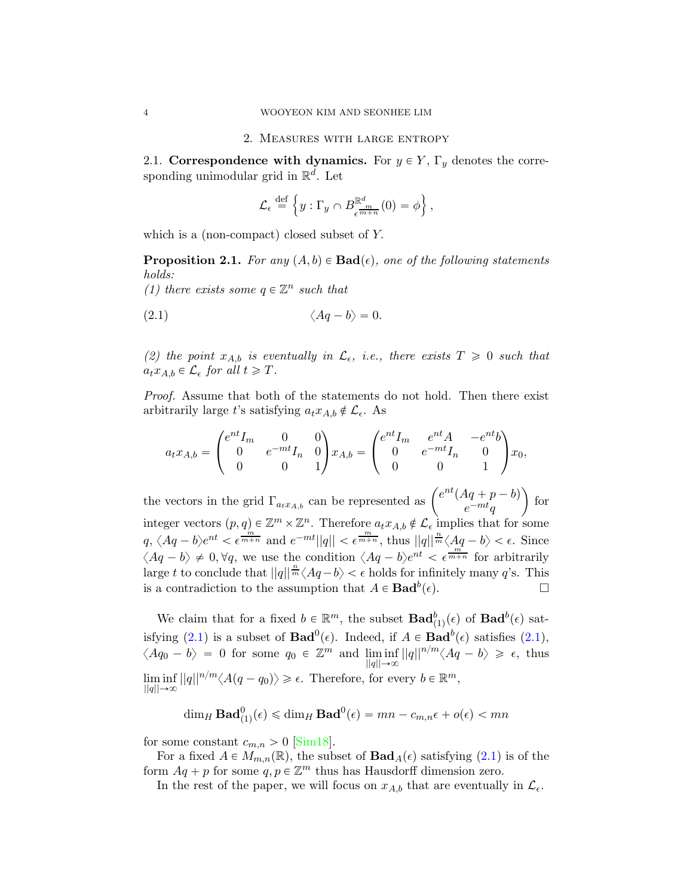2.1. Correspondence with dynamics. For  $y \in Y$ ,  $\Gamma_y$  denotes the corresponding unimodular grid in  $\mathbb{R}^d$ . Let

<span id="page-3-0"></span>
$$
\mathcal{L}_{\epsilon} \stackrel{\text{def}}{=} \left\{ y : \Gamma_y \cap B_{\epsilon}^{\mathbb{R}^d_{m}}(0) = \phi \right\},\
$$

which is a (non-compact) closed subset of Y.

<span id="page-3-1"></span>**Proposition 2.1.** For any  $(A, b) \in \text{Bad}(\epsilon)$ , one of the following statements holds:

(1) there exists some  $q \in \mathbb{Z}^n$  such that

$$
\langle Aq - b \rangle = 0.
$$

(2) the point  $x_{A,b}$  is eventually in  $\mathcal{L}_{\epsilon}$ , i.e., there exists  $T \geq 0$  such that  $a_t x_{A,b} \in \mathcal{L}_{\epsilon}$  for all  $t \geqslant T$ .

Proof. Assume that both of the statements do not hold. Then there exist arbitrarily large t's satisfying  $a_t x_{A,b} \notin \mathcal{L}_{\epsilon}$ . As

$$
a_t x_{A,b} = \begin{pmatrix} e^{nt} I_m & 0 & 0 \\ 0 & e^{-mt} I_n & 0 \\ 0 & 0 & 1 \end{pmatrix} x_{A,b} = \begin{pmatrix} e^{nt} I_m & e^{nt} A & -e^{nt} b \\ 0 & e^{-mt} I_n & 0 \\ 0 & 0 & 1 \end{pmatrix} x_0,
$$

the vectors in the grid  $\Gamma_{a_t x_{A,b}}$  can be represented as  $\begin{pmatrix} e^{nt}(Aq+p-b) \\ e^{-mt}a \end{pmatrix}$  $e^{-mt}q$ ˙ for integer vectors  $(p, q) \in \mathbb{Z}^m \times \mathbb{Z}^n$ . Therefore  $a_t x_{A,b} \notin \mathcal{L}_{\epsilon}$  implies that for some  $q, \langle Aq-b\rangle e^{nt} < \epsilon^{\frac{m}{m+n}}$  and  $e^{-mt}||q|| < \epsilon^{\frac{m}{m+n}}$ , thus  $||q||^{\frac{n}{m}} \langle Aq-b\rangle < \epsilon$ . Since  $\langle Aq-b \rangle \neq 0, \forall q$ , we use the condition  $\langle Aq-b \rangle e^{nt} < \epsilon^{\frac{m}{m+n}}$  for arbitrarily large t to conclude that  $||q||^{\frac{n}{m}} \langle Aq-b \rangle < \epsilon$  holds for infinitely many q's. This is a contradiction to the assumption that  $A \in \textbf{Bad}^b(\epsilon)$ .

We claim that for a fixed  $b \in \mathbb{R}^m$ , the subset  $\text{Bad}^b_{(1)}(\epsilon)$  of  $\text{Bad}^b(\epsilon)$  sat-isfying [\(2.1\)](#page-3-0) is a subset of  $\text{Bad}^0(\epsilon)$ . Indeed, if  $A \in \text{Bad}^b(\epsilon)$  satisfies (2.1),  $\langle Aq_0 - b \rangle = 0$  for some  $q_0 \in \mathbb{Z}^m$  and  $\liminf ||q||^{n/m} \langle Aq - b \rangle \geq \epsilon$ , thus  $||q|| \rightarrow \infty$  $\liminf ||q||^{n/m} \langle A(q - q_0) \rangle \geq \epsilon$ . Therefore, for every  $b \in \mathbb{R}^m$ ,  $||q||\rightarrow\infty$ 

$$
\dim_H \mathbf{Bad}^0_{(1)}(\epsilon) \le \dim_H \mathbf{Bad}^0(\epsilon) = mn - c_{m,n}\epsilon + o(\epsilon) < mn
$$

for some constant  $c_{m,n} > 0$  [\[Sim18\]](#page-15-4).

For a fixed  $A \in M_{m,n}(\mathbb{R})$ , the subset of  $\text{Bad}_{A}(\epsilon)$  satisfying [\(2.1\)](#page-3-0) is of the form  $Aq + p$  for some  $q, p \in \mathbb{Z}^m$  thus has Hausdorff dimension zero.

In the rest of the paper, we will focus on  $x_{A,b}$  that are eventually in  $\mathcal{L}_{\epsilon}$ .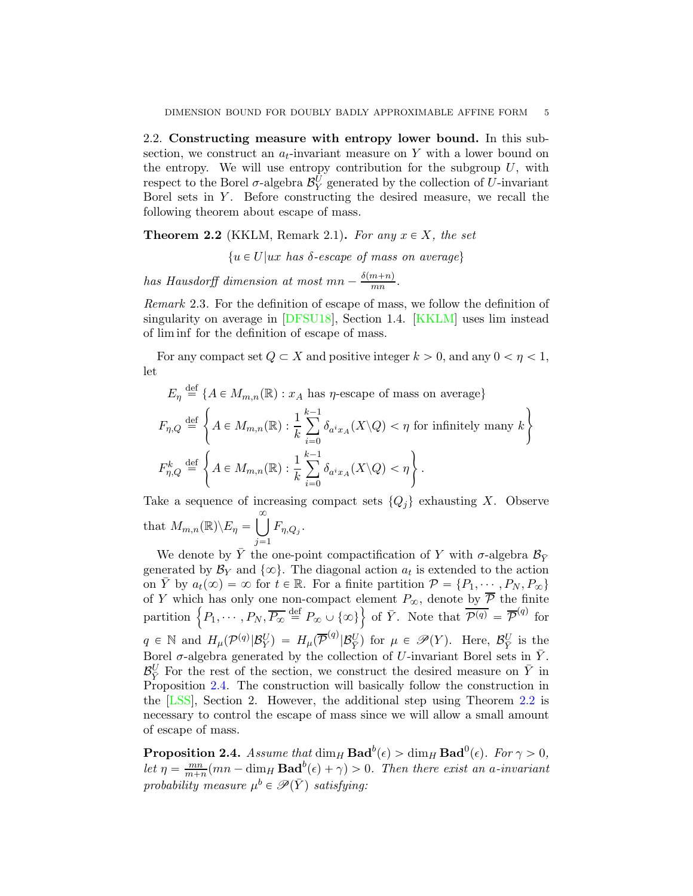2.2. Constructing measure with entropy lower bound. In this subsection, we construct an  $a_t$ -invariant measure on Y with a lower bound on the entropy. We will use entropy contribution for the subgroup  $U$ , with respect to the Borel  $\sigma$ -algebra  $\mathcal{B}_Y^U$  generated by the collection of U-invariant Borel sets in  $Y$ . Before constructing the desired measure, we recall the following theorem about escape of mass.

<span id="page-4-1"></span>**Theorem 2.2** (KKLM, Remark 2.1). For any  $x \in X$ , the set

 $\{u \in U | ux \text{ has } \delta\text{-}escape \text{ of mass on average}\}\$ 

has Hausdorff dimension at most  $mn - \frac{\delta(m+n)}{mn}$  $\frac{(n+n)}{mn}$ .

Remark 2.3. For the definition of escape of mass, we follow the definition of singularity on average in [\[DFSU18\]](#page-14-3), Section 1.4. [\[KKLM\]](#page-15-6) uses lim instead of lim inf for the definition of escape of mass.

For any compact set  $Q \subset X$  and positive integer  $k > 0$ , and any  $0 < \eta < 1$ , let

$$
E_{\eta} \stackrel{\text{def}}{=} \{ A \in M_{m,n}(\mathbb{R}) : x_A \text{ has } \eta\text{-escape of mass on average} \}
$$
  

$$
F_{\eta,Q} \stackrel{\text{def}}{=} \left\{ A \in M_{m,n}(\mathbb{R}) : \frac{1}{k} \sum_{i=0}^{k-1} \delta_{a^i x_A}(X \backslash Q) < \eta \text{ for infinitely many } k \right\}
$$
  

$$
F_{\eta,Q}^k \stackrel{\text{def}}{=} \left\{ A \in M_{m,n}(\mathbb{R}) : \frac{1}{k} \sum_{i=0}^{k-1} \delta_{a^i x_A}(X \backslash Q) < \eta \right\}.
$$

Take a sequence of increasing compact sets  $\{Q_i\}$  exhausting X. Observe that  $M_{m,n}(\mathbb{R}) \backslash E_{\eta} = \bigcup_{n=0}^{\infty}$  $\sum_{j=1}$  $F_{\eta,Q_j}$ .

We denote by  $\bar{Y}$  the one-point compactification of Y with  $\sigma$ -algebra  $\mathcal{B}_{\bar{Y}}$ generated by  $\mathcal{B}_Y$  and  $\{\infty\}$ . The diagonal action  $a_t$  is extended to the action on  $\overline{Y}$  by  $a_t(\infty) = \infty$  for  $t \in \mathbb{R}$ . For a finite partition  $\mathcal{P} = \{P_1, \dots, P_N, P_\infty\}$ of Y which has only one non-compact element  $P_{\infty}$ , denote by  $\overline{P}$  the finite partition  $\left\{P_1, \cdots, P_N, \overline{P_{\infty}} \stackrel{\text{def}}{=} P_{\infty} \cup \{\infty\}\right\}$  of  $\overline{Y}$ . Note that  $\overline{\mathcal{P}^{(q)}} = \overline{\mathcal{P}}^{(q)}$  for  $q \in \mathbb{N}$  and  $H_{\mu}(\mathcal{P}^{(q)}|\mathcal{B}_Y^U) = H_{\mu}(\overline{\mathcal{P}}^{(q)}|\mathcal{B}_{\bar{Y}}^U)$  for  $\mu \in \mathscr{P}(Y)$ . Here,  $\mathcal{B}_{\bar{Y}}^U$  is the Borel  $\sigma$ -algebra generated by the collection of U-invariant Borel sets in  $\bar{Y}$ .  $\mathcal{B}_{\overline{Y}}^U$  For the rest of the section, we construct the desired measure on  $\overline{Y}$  in Proposition [2.4.](#page-4-0) The construction will basically follow the construction in the [\[LSS\]](#page-15-5), Section 2. However, the additional step using Theorem [2.2](#page-4-1) is necessary to control the escape of mass since we will allow a small amount of escape of mass.

<span id="page-4-0"></span>**Proposition 2.4.** Assume that  $\dim_H \textbf{Bad}^b(\epsilon) > \dim_H \textbf{Bad}^0(\epsilon)$ . For  $\gamma > 0$ , let  $\eta = \frac{mn}{m+n}$  $\frac{mn}{m+n}(mn - \dim_H \mathbf{Bad}^b(\epsilon) + \gamma) > 0$ . Then there exist an a-invariant probability measure  $\mu^b \in \mathscr{P}(\bar{Y})$  satisfying: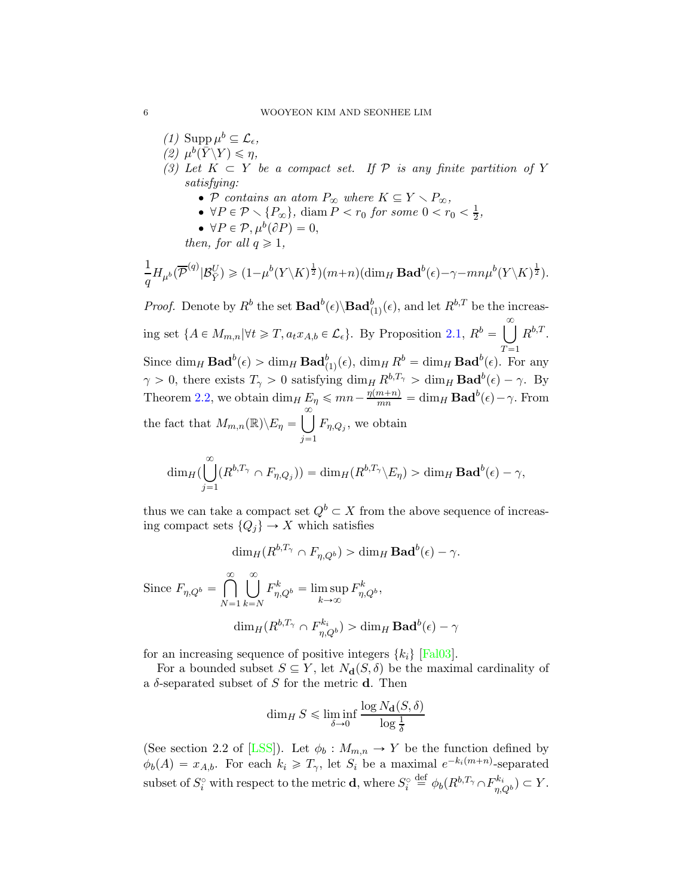<span id="page-5-2"></span><span id="page-5-1"></span>(1) Supp  $\mu^b \subseteq \mathcal{L}_{\epsilon}$ , (2)  $\mu^b(\bar{Y}\backslash Y)\leqslant \eta,$ (3) Let  $K \subset Y$  be a compact set. If  $\mathcal P$  is any finite partition of Y satisfying: • P contains an atom  $P_{\infty}$  where  $K \subseteq Y \setminus P_{\infty}$ , •  $\forall P \in \mathcal{P} \setminus \{P_{\infty}\}, \text{ diam } \widetilde{P} < r_0 \text{ for some } 0 < r_0 < \frac{1}{2}$  $\frac{1}{2}$  , •  $\forall P \in \mathcal{P}, \mu^b(\partial P) = 0,$ then, for all  $q \geq 1$ ,

$$
\frac{1}{q}H_{\mu^b}(\overline{\mathcal{P}}^{(q)}|\mathcal{B}_{\overline{Y}}^U) \geq (1-\mu^b(Y\setminus K)^{\frac{1}{2}})(m+n)(\dim_H \mathbf{Bad}^b(\epsilon)-\gamma-mn\mu^b(Y\setminus K)^{\frac{1}{2}}).
$$

*Proof.* Denote by  $R^b$  the set  $\text{Bad}^b(\epsilon) \backslash \text{Bad}^b_{(1)}(\epsilon)$ , and let  $R^{b,T}$  be the increasing set  $\{A \in M_{m,n} | \forall t \geq T, a_t x_{A,b} \in \mathcal{L}_{\epsilon}\}.$  By Proposition [2.1,](#page-3-1)  $R^b = \bigcup_{i=1}^{\infty} R^{b_i T}$ .  $\overline{T=1}$ Since  $\dim_H \text{Bad}^b(\epsilon) > \dim_H \text{Bad}^b_{(1)}(\epsilon)$ ,  $\dim_H R^b = \dim_H \text{Bad}^b(\epsilon)$ . For any  $\gamma > 0$ , there exists  $T_{\gamma} > 0$  satisfying  $\dim_H R^{b,T_{\gamma}} > \dim_H \mathbf{Bad}^b(\epsilon) - \gamma$ . By Theorem [2.2,](#page-4-1) we obtain  $\dim_H E_\eta \leqslant mn - \frac{\eta(m+n)}{mn} = \dim_H \mathbf{Bad}^b(\epsilon) - \gamma$ . From the fact that  $M_{m,n}(\mathbb{R})\backslash E_{\eta} = \left[\begin{array}{c} \infty \\ \infty \end{array}\right]$  $j=1$  $F_{\eta,Q_j}$ , we obtain

$$
\dim_H(\bigcup_{j=1}^{\infty}(R^{b,T_{\gamma}}\cap F_{\eta,Q_j}))=\dim_H(R^{b,T_{\gamma}}\backslash E_{\eta})>\dim_H\mathbf{Bad}^b(\epsilon)-\gamma,
$$

thus we can take a compact set  $Q^b \subset X$  from the above sequence of increasing compact sets  $\{Q_j\} \to X$  which satisfies

$$
\dim_H(R^{b,T_{\gamma}} \cap F_{\eta,Q^b}) > \dim_H \mathbf{Bad}^b(\epsilon) - \gamma.
$$

Since  $F_{\eta,Q^b} = \bigcap^{\infty}$  $N=1$  $\int_{0}^{\infty}$  $k = N$  $F_{\eta,Q^b}^k = \limsup_{k \to \infty}$  $F_{\eta,Q^b}^k,$  $\dim_H(R^{b,T_\gamma}\cap F^{k_i}_{n,\ell})$  $(\eta_{\eta,Q^b})>\dim_H\mathbf{Bad}^b(\epsilon)-\gamma^b$ 

for an increasing sequence of positive integers  $\{k_i\}$  [\[Fal03\]](#page-15-7).

For a bounded subset  $S \subseteq Y$ , let  $N_{d}(S, \delta)$  be the maximal cardinality of a  $\delta$ -separated subset of S for the metric **d**. Then

$$
\dim_H S \le \liminf_{\delta \to 0} \frac{\log N_{\mathbf{d}}(S, \delta)}{\log \frac{1}{\delta}}
$$

(See section 2.2 of [\[LSS\]](#page-15-5)). Let  $\phi_b : M_{m,n} \to Y$  be the function defined by  $\phi_b(A) = x_{A,b}$ . For each  $k_i \geqslant T_\gamma$ , let  $S_i$  be a maximal  $e^{-k_i(m+n)}$ -separated subset of  $S_i^{\circ}$  with respect to the metric **d**, where  $S_i^{\circ} \stackrel{\text{def}}{=} \phi_b(R^{b,T_{\gamma}} \cap F_{n,0}^{k_i})$  $\binom{n}{n,Q^b} \subset Y.$ 

<span id="page-5-0"></span>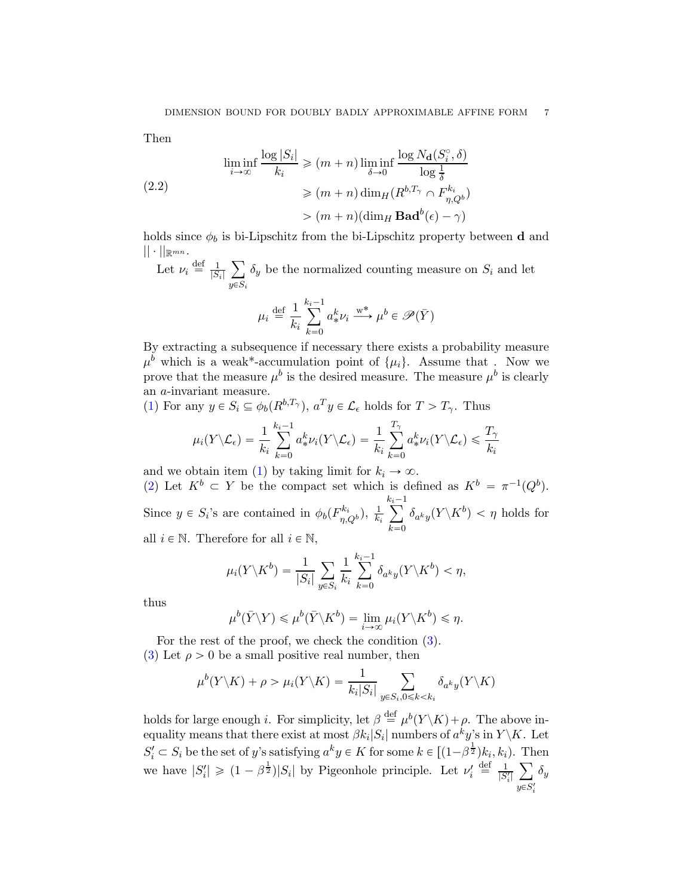Then

<span id="page-6-0"></span>
$$
\liminf_{i \to \infty} \frac{\log |S_i|}{k_i} \ge (m+n) \liminf_{\delta \to 0} \frac{\log N_{\mathbf{d}}(S_i^{\circ}, \delta)}{\log \frac{1}{\delta}}
$$
\n
$$
\ge (m+n) \dim_H(R^{b, T_{\gamma}} \cap F_{\eta, Q^b}^{k_i})
$$
\n
$$
> (m+n) (\dim_H \mathbf{Bad}^b(\epsilon) - \gamma)
$$

holds since  $\phi_b$  is bi-Lipschitz from the bi-Lipschitz property between **d** and  $|| \cdot ||_{\mathbb{R}^{mn}}$ .

Let  $\nu_i \stackrel{\text{def}}{=} \frac{1}{|S_i|}$  $\sum$  $y{\in}S_i$  $\delta_y$  be the normalized counting measure on  $S_i$  and let

$$
\mu_i \stackrel{\text{def}}{=} \frac{1}{k_i} \sum_{k=0}^{k_i - 1} a^k_* \nu_i \stackrel{\text{w*}}{\longrightarrow} \mu^b \in \mathcal{P}(\bar{Y})
$$

By extracting a subsequence if necessary there exists a probability measure  $\mu^b$  which is a weak\*-accumulation point of  $\{\mu_i\}$ . Assume that . Now we prove that the measure  $\mu^b$  is the desired measure. The measure  $\mu^b$  is clearly an a-invariant measure.

[\(1\)](#page-5-0) For any  $y \in S_i \subseteq \phi_b(R^{b,T_\gamma})$ ,  $a^T y \in \mathcal{L}_{\epsilon}$  holds for  $T > T_\gamma$ . Thus

$$
\mu_i(Y \setminus \mathcal{L}_{\epsilon}) = \frac{1}{k_i} \sum_{k=0}^{k_i-1} a^k_* \nu_i(Y \setminus \mathcal{L}_{\epsilon}) = \frac{1}{k_i} \sum_{k=0}^{T_{\gamma}} a^k_* \nu_i(Y \setminus \mathcal{L}_{\epsilon}) \leq \frac{T_{\gamma}}{k_i}
$$

and we obtain item [\(1\)](#page-5-0) by taking limit for  $k_i \to \infty$ . [\(2\)](#page-5-1) Let  $K^b \subset Y$  be the compact set which is defined as  $K^b = \pi^{-1}(Q^b)$ . Since  $y \in S_i$ 's are contained in  $\phi_b(F_{n,d}^{k_i})$  $(\frac{1}{\eta},Q_b), \frac{1}{k_a}$  $\overline{k_i}$  $\sum_{i=1}^{k}$  $k=0$  $\delta_{a^ky}(Y\backslash K^b)<\eta\,\,{\rm holds}\,\,{\rm for}\,\,$ all  $i \in \mathbb{N}$ . Therefore for all  $i \in \mathbb{N}$ ,

$$
\mu_i(Y \setminus K^b) = \frac{1}{|S_i|} \sum_{y \in S_i} \frac{1}{k_i} \sum_{k=0}^{k_i - 1} \delta_{a^k y}(Y \setminus K^b) < \eta,
$$

thus

$$
\mu^{b}(\bar{Y}\backslash Y)\leqslant\mu^{b}(\bar{Y}\backslash K^{b})=\lim_{i\to\infty}\mu_{i}(Y\backslash K^{b})\leqslant\eta.
$$

For the rest of the proof, we check the condition [\(3\)](#page-5-2). [\(3\)](#page-5-2) Let  $\rho > 0$  be a small positive real number, then

$$
\mu^{b}(Y\backslash K) + \rho > \mu_{i}(Y\backslash K) = \frac{1}{k_{i}|S_{i}|} \sum_{y \in S_{i}, 0 \le k < k_{i}} \delta_{a^{k}y}(Y\backslash K)
$$

holds for large enough *i*. For simplicity, let  $\beta \stackrel{\text{def}}{=} \mu^b(Y \setminus K) + \rho$ . The above inequality means that there exist at most  $\beta k_i|S_i|$  numbers of  $a^ky$ 's in  $Y\backslash K$ . Let  $S_i' \subset S_i$  be the set of y's satisfying  $a^k y \in K$  for some  $k \in [(1-\beta^{\frac{1}{2}})k_i, k_i)$ . Then we have  $|S'_i| \geq (1 - \beta^{\frac{1}{2}})|S_i|$  by Pigeonhole principle. Let  $\nu'_i \stackrel{\text{def}}{=} \frac{1}{|S_i|}$  $\frac{1}{|S'_i|}$   $\sum$  $y \in S'_i$  $\delta_y$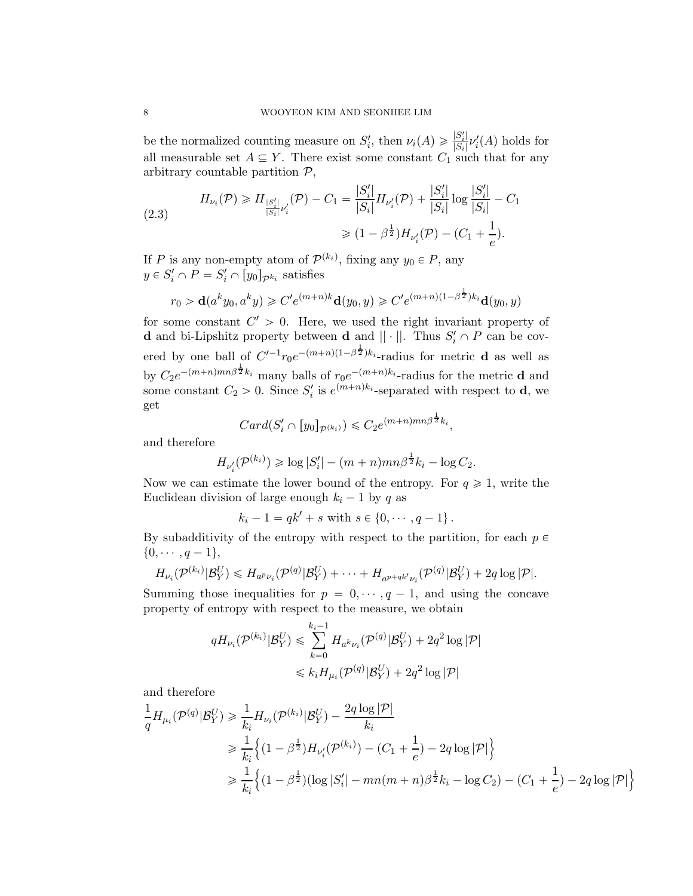be the normalized counting measure on  $S_i'$ , then  $\nu_i(A) \geq \frac{|S_i'|}{|S_i|}$  $\frac{|S_i|}{|S_i|} \nu'_i(A)$  holds for all measurable set  $A \subseteq Y$ . There exist some constant  $C_1$  such that for any arbitrary countable partition  $P$ ,

<span id="page-7-0"></span>
$$
(2.3) \tH_{\nu_i}(\mathcal{P}) \ge H_{\frac{|S_i'|}{|S_i|}\nu_i'}(\mathcal{P}) - C_1 = \frac{|S_i'|}{|S_i|} H_{\nu_i'}(\mathcal{P}) + \frac{|S_i'|}{|S_i|} \log \frac{|S_i'|}{|S_i|} - C_1
$$
  

$$
\ge (1 - \beta^{\frac{1}{2}}) H_{\nu_i'}(\mathcal{P}) - (C_1 + \frac{1}{e}).
$$

If P is any non-empty atom of  $\mathcal{P}^{(k_i)}$ , fixing any  $y_0 \in P$ , any  $y \in S'_i \cap P = S'_i \cap [y_0]_{\mathcal{P}^{k_i}}$  satisfies

$$
r_0 > \mathbf{d}(a^k y_0, a^k y) \ge C' e^{(m+n)k} \mathbf{d}(y_0, y) \ge C' e^{(m+n)(1-\beta^{\frac{1}{2}})k_i} \mathbf{d}(y_0, y)
$$

for some constant  $C' > 0$ . Here, we used the right invariant property of **d** and bi-Lipshitz property between **d** and  $|| \cdot ||$ . Thus  $S_i' \cap P$  can be covered by one ball of  $C'^{-1}r_0e^{-(m+n)(1-\beta^{\frac{1}{2}})k_i}$ -radius for metric **d** as well as by  $C_2e^{-(m+n)mn\beta^{\frac{1}{2}}k_i}$  many balls of  $r_0e^{-(m+n)k_i}$ -radius for the metric **d** and some constant  $C_2 > 0$ . Since  $S_i'$  is  $e^{(m+n)k_i}$ -separated with respect to **d**, we get 1

$$
Card(S'_{i} \cap [y_0]_{\mathcal{P}^{(k_i)}}) \leqslant C_2 e^{(m+n)mn\beta^{\frac{1}{2}}k_i},
$$

and therefore

$$
H_{\nu'_i}(\mathcal{P}^{(k_i)}) \geq \log |S'_i| - (m+n)mn\beta^{\frac{1}{2}}k_i - \log C_2.
$$

Now we can estimate the lower bound of the entropy. For  $q \geq 1$ , write the Euclidean division of large enough  $k_i - 1$  by q as

 $k_i - 1 = qk' + s$  with  $s \in \{0, \dots, q - 1\}$ .

By subadditivity of the entropy with respect to the partition, for each  $p \in$  $\{0, \cdots, q-1\},\$ 

$$
H_{\nu_i}(\mathcal{P}^{(k_i)}|\mathcal{B}_Y^U) \leq H_{a^p\nu_i}(\mathcal{P}^{(q)}|\mathcal{B}_Y^U) + \cdots + H_{a^{p+qk'}\nu_i}(\mathcal{P}^{(q)}|\mathcal{B}_Y^U) + 2q \log |\mathcal{P}|.
$$

Summing those inequalities for  $p = 0, \dots, q - 1$ , and using the concave property of entropy with respect to the measure, we obtain

$$
qH_{\nu_i}(\mathcal{P}^{(k_i)}|\mathcal{B}_Y^U) \leq \sum_{k=0}^{k_i-1} H_{a^k\nu_i}(\mathcal{P}^{(q)}|\mathcal{B}_Y^U) + 2q^2 \log |\mathcal{P}|
$$
  

$$
\leq k_i H_{\mu_i}(\mathcal{P}^{(q)}|\mathcal{B}_Y^U) + 2q^2 \log |\mathcal{P}|
$$

and therefore

$$
\frac{1}{q} H_{\mu_i}(\mathcal{P}^{(q)} | \mathcal{B}_Y^U) \ge \frac{1}{k_i} H_{\nu_i}(\mathcal{P}^{(k_i)} | \mathcal{B}_Y^U) - \frac{2q \log |\mathcal{P}|}{k_i}
$$
\n
$$
\ge \frac{1}{k_i} \left\{ (1 - \beta^{\frac{1}{2}}) H_{\nu_i'}(\mathcal{P}^{(k_i)}) - (C_1 + \frac{1}{e}) - 2q \log |\mathcal{P}| \right\}
$$
\n
$$
\ge \frac{1}{k_i} \left\{ (1 - \beta^{\frac{1}{2}}) (\log |S_i'| - mn(m + n)\beta^{\frac{1}{2}} k_i - \log C_2) - (C_1 + \frac{1}{e}) - 2q \log |\mathcal{P}| \right\}
$$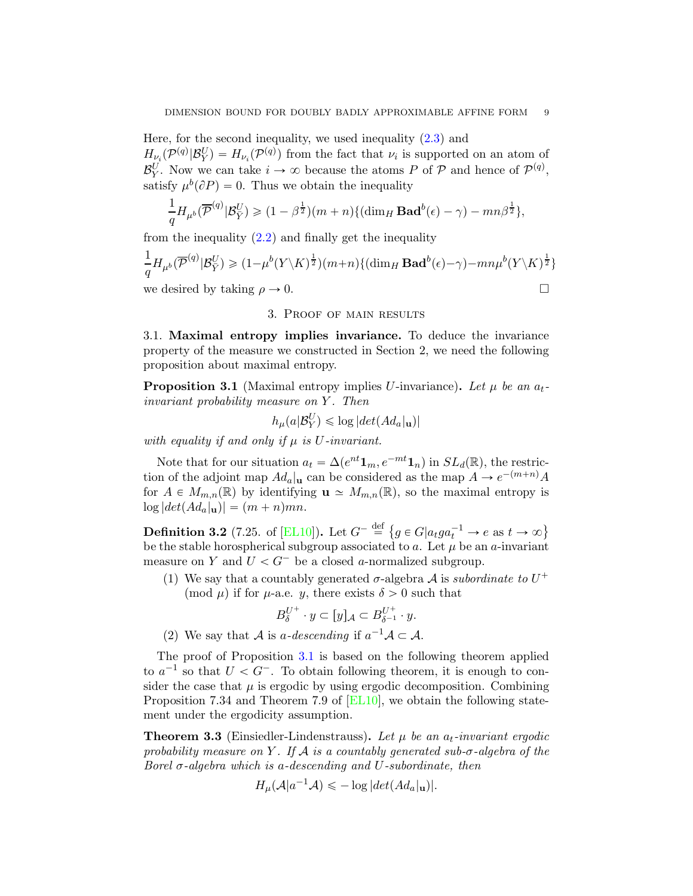Here, for the second inequality, we used inequality  $(2.3)$  and  $H_{\nu_i}(\mathcal{P}^{(q)}|\mathcal{B}_Y^U) = H_{\nu_i}(\mathcal{P}^{(q)})$  from the fact that  $\nu_i$  is supported on an atom of  $\mathcal{B}_Y^U$ . Now we can take  $i \to \infty$  because the atoms P of P and hence of  $\mathcal{P}^{(q)}$ , satisfy  $\mu^b(\partial P) = 0$ . Thus we obtain the inequality

$$
\frac{1}{q}H_{\mu^b}(\overline{\mathcal{P}}^{(q)}|\mathcal{B}_{\overline{Y}}^U) \geq (1-\beta^{\frac{1}{2}})(m+n)\{(\dim_H \mathbf{Bad}^b(\epsilon)-\gamma)-mn\beta^{\frac{1}{2}}\},\
$$

from the inequality  $(2.2)$  and finally get the inequality

$$
\frac{1}{q}H_{\mu^b}(\overline{\mathcal{P}}^{(q)}|\mathcal{B}_{\overline{Y}}^U) \geq (1-\mu^b(Y\backslash K)^{\frac{1}{2}})(m+n)\{(\dim_H \mathbf{Bad}^b(\epsilon)-\gamma)-mn\mu^b(Y\backslash K)^{\frac{1}{2}}\}
$$
  
we desired by taking  $\rho \to 0$ .

## 3. Proof of main results

3.1. Maximal entropy implies invariance. To deduce the invariance property of the measure we constructed in Section 2, we need the following proposition about maximal entropy.

<span id="page-8-0"></span>**Proposition 3.1** (Maximal entropy implies U-invariance). Let  $\mu$  be an  $a_t$ invariant probability measure on Y. Then

$$
h_{\mu}(a|\mathcal{B}_Y^U) \leq \log |det(Ad_a|_{\mathbf{u}})|
$$

with equality if and only if  $\mu$  is U-invariant.

Note that for our situation  $a_t = \Delta(e^{nt} \mathbf{1}_m, e^{-mt} \mathbf{1}_n)$  in  $SL_d(\mathbb{R})$ , the restriction of the adjoint map  $Ad_a|_u$  can be considered as the map  $A \to e^{-(m+n)}A$ for  $A \in M_{m,n}(\mathbb{R})$  by identifying  $\mathbf{u} \simeq M_{m,n}(\mathbb{R})$ , so the maximal entropy is  $\log |det(Ad_a|_{\mathbf{u}})| = (m + n)mn.$ 

**Definition 3.2** (7.25. of [\[EL10\]](#page-15-8)). Let  $G^{-} \stackrel{\text{def}}{=} \{ g \in G | a_t g a_t^{-1} \to e \text{ as } t \to \infty \}$ be the stable horospherical subgroup associated to a. Let  $\mu$  be an a-invariant measure on Y and  $U < G^-$  be a closed a-normalized subgroup.

(1) We say that a countably generated  $\sigma$ -algebra A is subordinate to  $U^+$ (mod  $\mu$ ) if for  $\mu$ -a.e. y, there exists  $\delta > 0$  such that

$$
B_{\delta}^{U^+} \cdot y \subset [y]_{\mathcal{A}} \subset B_{\delta^{-1}}^{U^+} \cdot y.
$$

(2) We say that A is a-descending if  $a^{-1}A \subset A$ .

The proof of Proposition [3.1](#page-8-0) is based on the following theorem applied to  $a^{-1}$  so that  $U < G^-$ . To obtain following theorem, it is enough to consider the case that  $\mu$  is ergodic by using ergodic decomposition. Combining Proposition 7.34 and Theorem 7.9 of [\[EL10\]](#page-15-8), we obtain the following statement under the ergodicity assumption.

<span id="page-8-1"></span>**Theorem 3.3** (Einsiedler-Lindenstrauss). Let  $\mu$  be an  $a_t$ -invariant ergodic probability measure on Y. If A is a countably generated sub- $\sigma$ -algebra of the Borel  $\sigma$ -algebra which is a-descending and U-subordinate, then

$$
H_{\mu}(\mathcal{A}|a^{-1}\mathcal{A}) \leq -\log |det(Ad_a|_{\mathbf{u}})|.
$$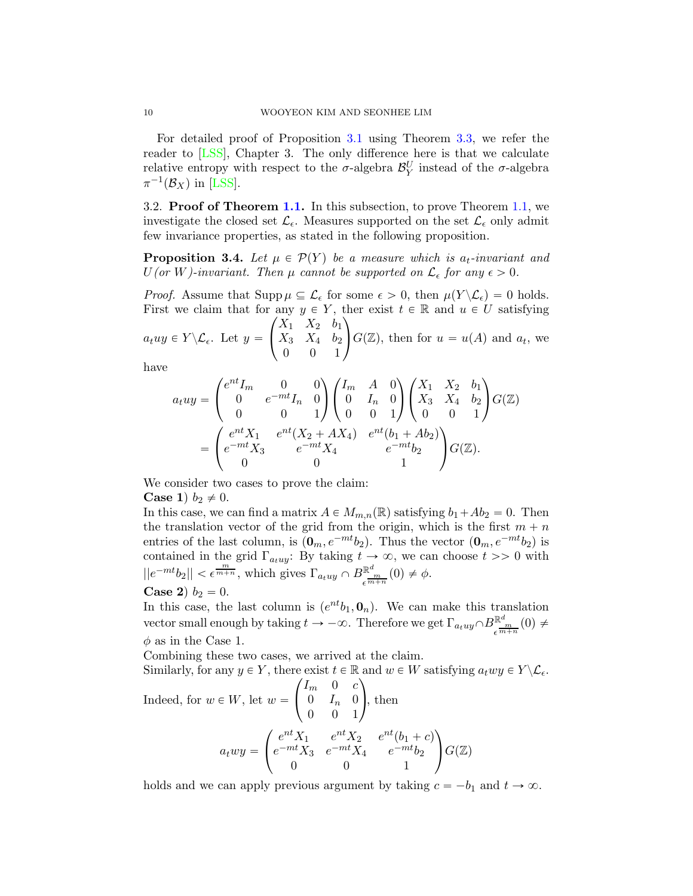For detailed proof of Proposition [3.1](#page-8-0) using Theorem [3.3,](#page-8-1) we refer the reader to [\[LSS\]](#page-15-5), Chapter 3. The only difference here is that we calculate relative entropy with respect to the  $\sigma$ -algebra  $\mathcal{B}_Y^U$  instead of the  $\sigma$ -algebra  $\pi^{-1}(\mathcal{B}_X)$  in [\[LSS\]](#page-15-5).

3.2. Proof of Theorem [1.1.](#page-1-0) In this subsection, to prove Theorem [1.1,](#page-1-0) we investigate the closed set  $\mathcal{L}_{\epsilon}$ . Measures supported on the set  $\mathcal{L}_{\epsilon}$  only admit few invariance properties, as stated in the following proposition.

<span id="page-9-0"></span>**Proposition 3.4.** Let  $\mu \in \mathcal{P}(Y)$  be a measure which is  $a_t$ -invariant and  $U($ or W)-invariant. Then  $\mu$  cannot be supported on  $\mathcal{L}_{\epsilon}$  for any  $\epsilon > 0$ .

*Proof.* Assume that  $\text{Supp}\,\mu \subseteq \mathcal{L}_{\epsilon}$  for some  $\epsilon > 0$ , then  $\mu(Y \setminus \mathcal{L}_{\epsilon}) = 0$  holds. First we claim that for any  $y \in Y$ , ther exist  $t \in \mathbb{R}$  and  $u \in U$  satisfying  $\sqrt{ }$  $X_1$   $X_2$   $b_1$  $\setminus$ 

 $a_t u y \in Y \backslash \mathcal{L}_{\epsilon}$ . Let  $y =$  $\sqrt{2}$  $X_3$   $X_4$   $b_2$ 0 0 1  $G(\mathbb{Z})$ , then for  $u = u(A)$  and  $a_t$ , we

have

$$
a_t u y = \begin{pmatrix} e^{nt} I_m & 0 & 0 \\ 0 & e^{-mt} I_n & 0 \\ 0 & 0 & 1 \end{pmatrix} \begin{pmatrix} I_m & A & 0 \\ 0 & I_n & 0 \\ 0 & 0 & 1 \end{pmatrix} \begin{pmatrix} X_1 & X_2 & b_1 \\ X_3 & X_4 & b_2 \\ 0 & 0 & 1 \end{pmatrix} G(\mathbb{Z})
$$

$$
= \begin{pmatrix} e^{nt} X_1 & e^{nt} (X_2 + AX_4) & e^{nt} (b_1 + Ab_2) \\ e^{-mt} X_3 & e^{-mt} X_4 & e^{-mt} b_2 \\ 0 & 0 & 1 \end{pmatrix} G(\mathbb{Z}).
$$

We consider two cases to prove the claim:

**Case 1**)  $b_2 \neq 0$ .

In this case, we can find a matrix  $A \in M_{m,n}(\mathbb{R})$  satisfying  $b_1 + Ab_2 = 0$ . Then the translation vector of the grid from the origin, which is the first  $m + n$ entries of the last column, is  $(0_m, e^{-mt}b_2)$ . Thus the vector  $(0_m, e^{-mt}b_2)$  is contained in the grid  $\Gamma_{a_tuy}$ : By taking  $t \to \infty$ , we can choose  $t >> 0$  with  $||e^{-mt}b_2|| < \epsilon^{\frac{m}{m+n}}$ , which gives  $\Gamma_{a_tuy} \cap B_{\epsilon^{\frac{m}{m+n}}}(0) \neq \phi$ . **Case 2**)  $b_2 = 0$ .

In this case, the last column is  $(e^{nt}b_1, 0_n)$ . We can make this translation vector small enough by taking  $t \to -\infty$ . Therefore we get  $\Gamma_{a_t u y} \cap B_{\epsilon m+n}^{\mathbb{R}^d}(0) \neq$  $\phi$  as in the Case 1.

Combining these two cases, we arrived at the claim.

Similarly, for any  $y \in Y$ , there exist  $t \in \mathbb{R}$  and  $w \in W$  satisfying  $a_twy \in Y \backslash \mathcal{L}_{\epsilon}$ .

Indeed, for 
$$
w \in W
$$
, let  $w = \begin{pmatrix} I_m & 0 & c \\ 0 & I_n & 0 \\ 0 & 0 & 1 \end{pmatrix}$ , then  
\n
$$
a_t w y = \begin{pmatrix} e^{nt} X_1 & e^{nt} X_2 & e^{nt} (b_1 + c) \\ e^{-mt} X_3 & e^{-mt} X_4 & e^{-mt} b_2 \\ 0 & 0 & 1 \end{pmatrix} G(\mathbb{Z})
$$

holds and we can apply previous argument by taking  $c = -b_1$  and  $t \to \infty$ .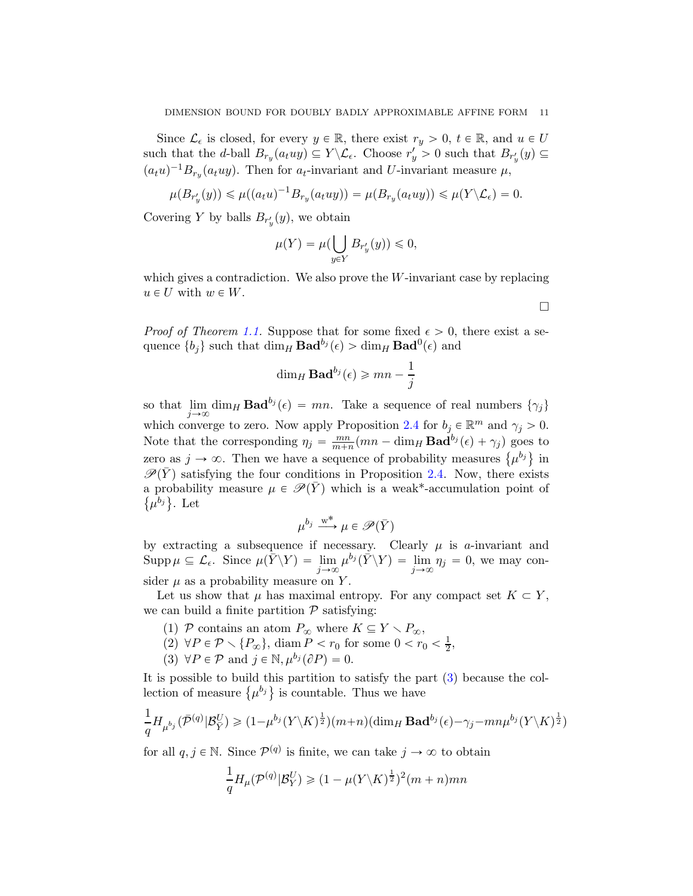Since  $\mathcal{L}_{\epsilon}$  is closed, for every  $y \in \mathbb{R}$ , there exist  $r_y > 0$ ,  $t \in \mathbb{R}$ , and  $u \in U$ such that the *d*-ball  $B_{r_y}(a_t u y) \subseteq Y \setminus \mathcal{L}_{\epsilon}$ . Choose  $r'_y > 0$  such that  $B_{r'_y}(y) \subseteq$  $(a_t u)^{-1} B_{r_y}(a_t u y)$ . Then for  $a_t$ -invariant and U-invariant measure  $\mu$ ,

$$
\mu(B_{r'_y}(y)) \leq \mu((a_t u)^{-1} B_{r_y}(a_t uy)) = \mu(B_{r_y}(a_t uy)) \leq \mu(Y \setminus \mathcal{L}_\epsilon) = 0.
$$

Covering Y by balls  $B_{r'_y}(y)$ , we obtain

$$
\mu(Y)=\mu(\bigcup_{y\in Y}B_{r'_y}(y))\leqslant 0,
$$

which gives a contradiction. We also prove the W-invariant case by replacing  $u \in U$  with  $w \in W$ .

 $\Box$ 

*Proof of Theorem [1.1.](#page-1-0)* Suppose that for some fixed  $\epsilon > 0$ , there exist a sequence  $\{b_j\}$  such that  $\dim_H \mathbf{Bad}^{b_j}(\epsilon) > \dim_H \mathbf{Bad}^0(\epsilon)$  and

$$
\dim_H \mathbf{Bad}^{b_j}(\epsilon) \geqslant mn - \frac{1}{j}
$$

so that  $\lim_{j\to\infty} \dim_H \mathbf{Bad}^{b_j}(\epsilon) = mn$ . Take a sequence of real numbers  $\{\gamma_j\}$ which converge to zero. Now apply Proposition [2.4](#page-4-0) for  $b_j \in \mathbb{R}^m$  and  $\gamma_j > 0$ . Note that the corresponding  $\eta_j = \frac{mn}{m+j}$  $\frac{mn}{m+n}(mn - \dim_H \mathbf{Bad}^{b_j}(\epsilon) + \gamma_j)$  goes to zero as  $j \to \infty$ . Then we have a sequence of probability measures  $\{\mu^{b_j}\}\$ in  $\mathscr{P}(\overline{Y})$  satisfying the four conditions in Proposition [2.4.](#page-4-0) Now, there exists a probability measure  $\mu \in \mathscr{P}(Y)$  which is a weak\*-accumulation point of  $\{\mu^{b_j}\}\.$  Let

$$
\mu^{b_j} \xrightarrow{w^*} \mu \in \mathscr{P}(\bar{Y})
$$

by extracting a subsequence if necessary. Clearly  $\mu$  is a-invariant and  $\text{Supp}\,\mu\subseteq\mathcal{L}_{\epsilon}$ . Since  $\mu(\bar{Y}\backslash Y) = \lim_{j\to\infty}\mu^{b_j}(\bar{Y}\backslash Y) = \lim_{j\to\infty}\eta_j = 0$ , we may consider  $\mu$  as a probability measure on Y.

Let us show that  $\mu$  has maximal entropy. For any compact set  $K \subset Y$ , we can build a finite partition  $P$  satisfying:

- (1) P contains an atom  $P_{\infty}$  where  $K \subseteq Y \setminus P_{\infty}$ ,
- <span id="page-10-0"></span> $(2) \forall P \in \mathcal{P} \setminus \{P_{\infty}\}, \text{ diam } P < r_0 \text{ for some } 0 < r_0 < \frac{1}{2}$  $\frac{1}{2},$
- (3)  $\forall P \in \mathcal{P}$  and  $j \in \mathbb{N}$ ,  $\mu^{b_j}(\partial P) = 0$ .

It is possible to build this partition to satisfy the part [\(3\)](#page-10-0) because the collection of measure  $\{\mu^{b_j}\}\$ is countable. Thus we have

$$
\frac{1}{q}H_{\mu^{b_j}}(\bar{\mathcal{P}}^{(q)}|\mathcal{B}_{\bar{Y}}^U) \geq (1-\mu^{b_j}(Y\setminus K)^{\frac{1}{2}})(m+n)(\dim_H \mathbf{Bad}^{b_j}(\epsilon)-\gamma_j - mn\mu^{b_j}(Y\setminus K)^{\frac{1}{2}})
$$

for all  $q, j \in \mathbb{N}$ . Since  $\mathcal{P}^{(q)}$  is finite, we can take  $j \to \infty$  to obtain

$$
\frac{1}{q}H_{\mu}(\mathcal{P}^{(q)}|\mathcal{B}_Y^U) \geq (1 - \mu(Y\backslash K)^{\frac{1}{2}})^2(m+n)mn
$$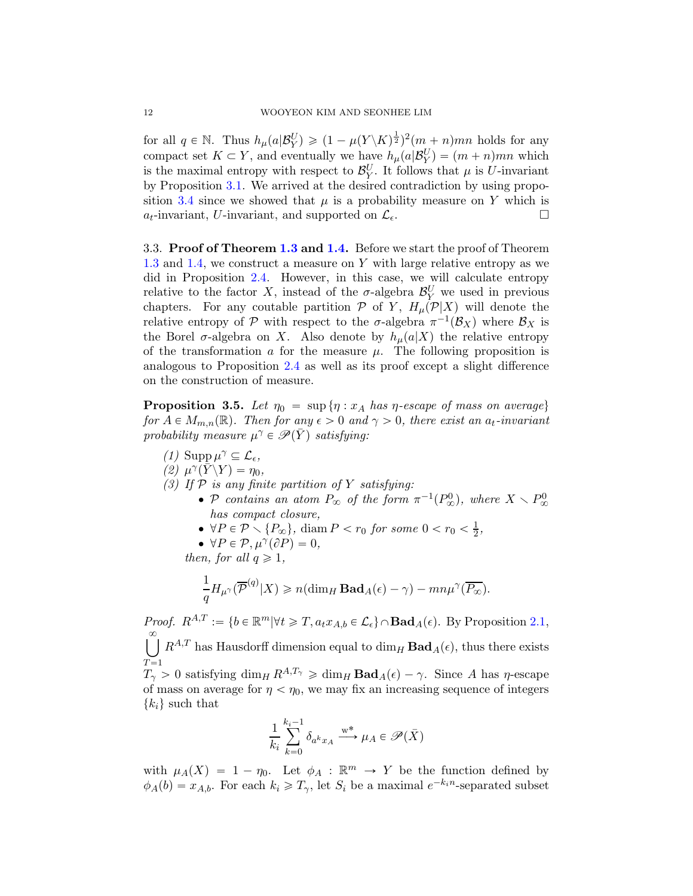for all  $q \in \mathbb{N}$ . Thus  $h_{\mu}(a|\mathcal{B}_Y^U) \geq (1 - \mu(Y\setminus K)^{\frac{1}{2}})^2(m+n)mn$  holds for any compact set  $K \subset Y$ , and eventually we have  $h_{\mu}(a|\mathcal{B}_Y^U) = (m+n)mn$  which is the maximal entropy with respect to  $\mathcal{B}_Y^U$ . It follows that  $\mu$  is U-invariant by Proposition [3.1.](#page-8-0) We arrived at the desired contradiction by using propo-sition [3.4](#page-9-0) since we showed that  $\mu$  is a probability measure on Y which is  $a_t$ -invariant, U-invariant, and supported on  $\mathcal{L}_{\epsilon}$ .

3.3. Proof of Theorem [1.3](#page-1-1) and [1.4.](#page-2-0) Before we start the proof of Theorem [1.3](#page-1-1) and [1.4,](#page-2-0) we construct a measure on Y with large relative entropy as we did in Proposition [2.4.](#page-4-0) However, in this case, we will calculate entropy relative to the factor X, instead of the  $\sigma$ -algebra  $\mathcal{B}_Y^U$  we used in previous chapters. For any coutable partition  $P$  of Y,  $H_{\mu}(P|X)$  will denote the relative entropy of  $P$  with respect to the  $\sigma$ -algebra  $\pi^{-1}(\mathcal{B}_X)$  where  $\mathcal{B}_X$  is the Borel  $\sigma$ -algebra on X. Also denote by  $h_{\mu}(a|X)$  the relative entropy of the transformation  $\alpha$  for the measure  $\mu$ . The following proposition is analogous to Proposition [2.4](#page-4-0) as well as its proof except a slight difference on the construction of measure.

<span id="page-11-3"></span>**Proposition 3.5.** Let  $\eta_0 = \sup \{ \eta : x_A \text{ has } \eta \text{-escape of mass on average} \}$ for  $A \in M_{m,n}(\mathbb{R})$ . Then for any  $\epsilon > 0$  and  $\gamma > 0$ , there exist an  $a_t$ -invariant probability measure  $\mu^{\gamma} \in \mathscr{P}(\bar{Y})$  satisfying:

<span id="page-11-2"></span><span id="page-11-1"></span><span id="page-11-0"></span>(1) Supp  $\mu^{\gamma} \subseteq \mathcal{L}_{\epsilon}$ ,  $(2) \mu^{\gamma}(\bar{Y}\backslash Y)=\eta_0,$ (3) If  $P$  is any finite partition of Y satisfying: • P contains an atom  $P_{\infty}$  of the form  $\pi^{-1}(P_{\infty}^0)$ , where  $X \setminus P_{\infty}^0$ has compact closure, •  $\forall P \in \mathcal{P} \setminus \{P_{\infty}\}, \text{ diam } P < r_0 \text{ for some } 0 < r_0 < \frac{1}{2}$  $\frac{1}{2}$ , •  $\forall P \in \mathcal{P}, \mu^{\gamma}(\partial P) = 0,$ then, for all  $q \geq 1$ ,

 $\infty$ 

1

$$
\frac{1}{q}H_{\mu^{\gamma}}(\overline{\mathcal{P}}^{(q)}|X) \geqslant n(\dim_H \mathbf{Bad}_A(\epsilon) - \gamma) - mn\mu^{\gamma}(\overline{P_{\infty}}).
$$

*Proof.*  $R^{A,T} := \{b \in \mathbb{R}^m | \forall t \geq T, a_t x_{A,b} \in \mathcal{L}_{\epsilon}\}\cap \mathbf{Bad}_{A}(\epsilon)$ . By Proposition [2.1,](#page-3-1)  $\bigcup^{\infty} R^{A,T}$  has Hausdorff dimension equal to  $\dim_H \mathbf{Bad}_A(\epsilon)$ , thus there exists

 $\widetilde{T=1}$ 

 $T_{\gamma} > 0$  satisfying  $\dim_H R^{A,T_{\gamma}} \geq \dim_H \textbf{Bad}_A(\epsilon) - \gamma$ . Since A has  $\eta$ -escape of mass on average for  $\eta < \eta_0$ , we may fix an increasing sequence of integers  $\{k_i\}$  such that

$$
\frac{1}{k_i}\sum_{k=0}^{k_i-1}\delta_{a^kx_A}\overset{\operatorname{w}^*}{\longrightarrow} \mu_A\in\mathscr{P}(\bar{X})
$$

with  $\mu_A(X) = 1 - \eta_0$ . Let  $\phi_A : \mathbb{R}^m \to Y$  be the function defined by  $\phi_A(b) = x_{A,b}$ . For each  $k_i \geqslant T_\gamma$ , let  $S_i$  be a maximal  $e^{-k_i n}$ -separated subset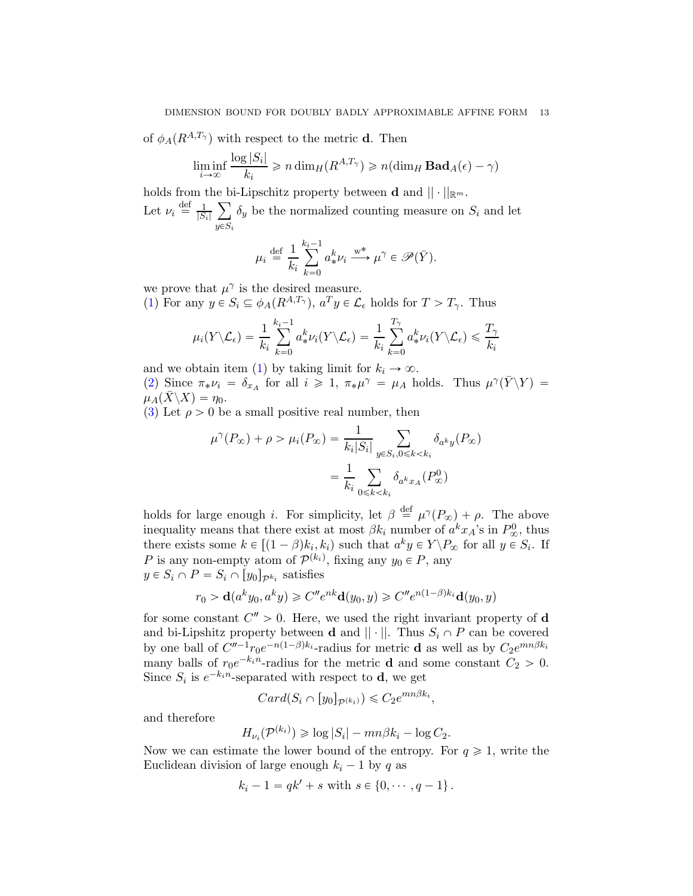of  $\phi_A(R^{A,T_{\gamma}})$  with respect to the metric **d**. Then

$$
\liminf_{i \to \infty} \frac{\log |S_i|}{k_i} \ge n \dim_H(R^{A,T_\gamma}) \ge n(\dim_H \mathbf{Bad}_A(\epsilon) - \gamma)
$$

holds from the bi-Lipschitz property between **d** and  $|| \cdot ||_{\mathbb{R}^m}$ .

Let  $\nu_i \stackrel{\text{def}}{=} \frac{1}{|S_i|}$  $|S_i|$  $\sum$  $y{\in}S_i$  $\delta_y$  be the normalized counting measure on  $S_i$  and let

$$
\mu_i \stackrel{\text{def}}{=} \frac{1}{k_i} \sum_{k=0}^{k_i-1} a^k_* \nu_i \xrightarrow{\text{w*}} \mu^\gamma \in \mathscr{P}(\bar{Y}).
$$

we prove that  $\mu^{\gamma}$  is the desired measure.

[\(1\)](#page-11-0) For any  $y \in S_i \subseteq \phi_A(R^{A,T_\gamma})$ ,  $a^T y \in \mathcal{L}_{\epsilon}$  holds for  $T > T_\gamma$ . Thus

$$
\mu_i(Y \setminus \mathcal{L}_{\epsilon}) = \frac{1}{k_i} \sum_{k=0}^{k_i-1} a^k_* \nu_i(Y \setminus \mathcal{L}_{\epsilon}) = \frac{1}{k_i} \sum_{k=0}^{T_{\gamma}} a^k_* \nu_i(Y \setminus \mathcal{L}_{\epsilon}) \leq \frac{T_{\gamma}}{k_i}
$$

and we obtain item [\(1\)](#page-11-0) by taking limit for  $k_i \to \infty$ .

[\(2\)](#page-11-1) Since  $\pi_* \nu_i = \delta_{x_A}$  for all  $i \geq 1$ ,  $\pi_* \mu^{\gamma} = \mu_A$  holds. Thus  $\mu^{\gamma}(\bar{Y} \setminus Y) =$  $\mu_A(X\backslash X)=\eta_0.$ 

[\(3\)](#page-11-2) Let  $\rho > 0$  be a small positive real number, then

$$
\mu^{\gamma}(P_{\infty}) + \rho > \mu_i(P_{\infty}) = \frac{1}{k_i|S_i|} \sum_{y \in S_i, 0 \le k < k_i} \delta_{a^k y}(P_{\infty})
$$
\n
$$
= \frac{1}{k_i} \sum_{0 \le k < k_i} \delta_{a^k x_A}(P_{\infty}^0)
$$

holds for large enough *i*. For simplicity, let  $\beta \stackrel{\text{def}}{=} \mu^{\gamma}(P_{\infty}) + \rho$ . The above inequality means that there exist at most  $\beta k_i$  number of  $a^k x_A$ 's in  $P^0_{\infty}$ , thus there exists some  $k \in [(1 - \beta)k_i, k_i)$  such that  $a^k y \in Y \backslash P_{\infty}$  for all  $y \in S_i$ . If P is any non-empty atom of  $\mathcal{P}^{(k_i)}$ , fixing any  $y_0 \in P$ , any  $y \in S_i \cap P = S_i \cap [y_0]_{\mathcal{P}^{k_i}}$  satisfies

$$
r_0 > \mathbf{d}(a^k y_0, a^k y) \geqslant C'' e^{nk} \mathbf{d}(y_0, y) \geqslant C'' e^{n(1-\beta)k_i} \mathbf{d}(y_0, y)
$$

for some constant  $C'' > 0$ . Here, we used the right invariant property of **d** and bi-Lipshitz property between **d** and  $|| \cdot ||$ . Thus  $S_i \cap P$  can be covered by one ball of  $C''^{-1}r_0e^{-n(1-\beta)k_i}$ -radius for metric **d** as well as by  $C_2e^{mn\beta k_i}$ many balls of  $r_0e^{-k_in}$ -radius for the metric **d** and some constant  $C_2 > 0$ . Since  $S_i$  is  $e^{-k_i n}$ -separated with respect to **d**, we get

$$
Card(S_i \cap [y_0]_{\mathcal{P}^{(k_i)}}) \leq C_2 e^{mn\beta k_i},
$$

and therefore

$$
H_{\nu_i}(\mathcal{P}^{(k_i)}) \geq \log |S_i| - mn\beta k_i - \log C_2.
$$

Now we can estimate the lower bound of the entropy. For  $q \geq 1$ , write the Euclidean division of large enough  $k_i - 1$  by q as

$$
k_i - 1 = qk' + s
$$
 with  $s \in \{0, \dots, q - 1\}$ .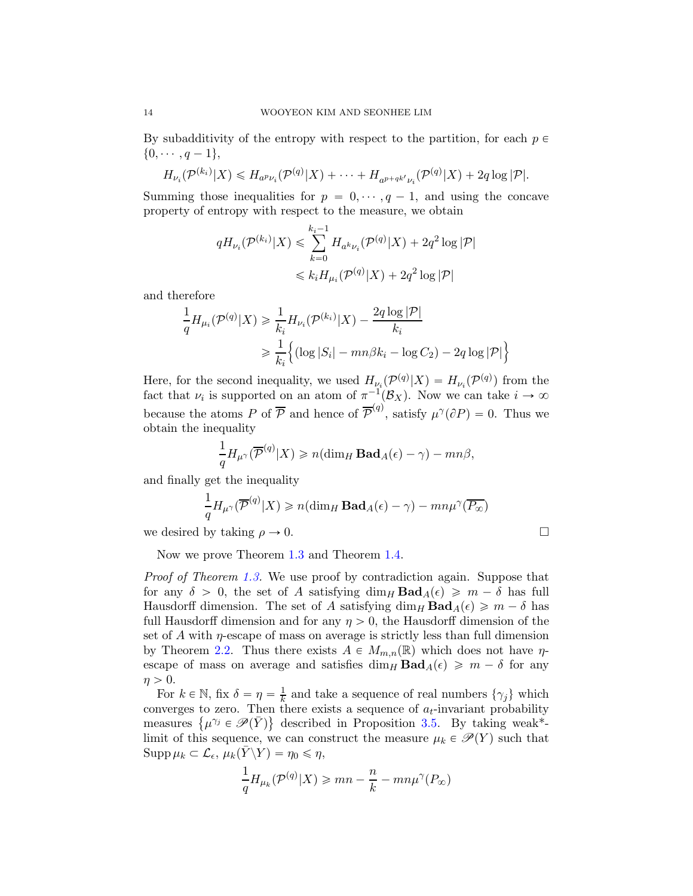By subadditivity of the entropy with respect to the partition, for each  $p \in$  $\{0, \cdots, q-1\},\$ 

$$
H_{\nu_i}(\mathcal{P}^{(k_i)}|X) \le H_{a^p\nu_i}(\mathcal{P}^{(q)}|X) + \cdots + H_{a^{p+qk'}\nu_i}(\mathcal{P}^{(q)}|X) + 2q \log |\mathcal{P}|.
$$

Summing those inequalities for  $p = 0, \dots, q - 1$ , and using the concave property of entropy with respect to the measure, we obtain

$$
qH_{\nu_i}(\mathcal{P}^{(k_i)}|X) \leq \sum_{k=0}^{k_i-1} H_{a^k \nu_i}(\mathcal{P}^{(q)}|X) + 2q^2 \log |\mathcal{P}|
$$
  

$$
\leq k_i H_{\mu_i}(\mathcal{P}^{(q)}|X) + 2q^2 \log |\mathcal{P}|
$$

and therefore

$$
\frac{1}{q}H_{\mu_i}(\mathcal{P}^{(q)}|X) \ge \frac{1}{k_i}H_{\nu_i}(\mathcal{P}^{(k_i)}|X) - \frac{2q\log|\mathcal{P}|}{k_i}
$$
\n
$$
\ge \frac{1}{k_i}\Big\{(\log|S_i| - mn\beta k_i - \log C_2) - 2q\log|\mathcal{P}|\Big\}
$$

Here, for the second inequality, we used  $H_{\nu_i}(\mathcal{P}^{(q)}|X) = H_{\nu_i}(\mathcal{P}^{(q)})$  from the fact that  $\nu_i$  is supported on an atom of  $\pi^{-1}(\mathcal{B}_X)$ . Now we can take  $i \to \infty$ because the atoms P of  $\overline{P}$  and hence of  $\overline{P}^{(q)}$ , satisfy  $\mu^{\gamma}(\partial P) = 0$ . Thus we obtain the inequality

$$
\frac{1}{q}H_{\mu^{\gamma}}(\overline{\mathcal{P}}^{(q)}|X) \geq n(\dim_H \mathbf{Bad}_A(\epsilon) - \gamma) - mn\beta,
$$

and finally get the inequality

$$
\frac{1}{q}H_{\mu^{\gamma}}(\overline{\mathcal{P}}^{(q)}|X) \ge n(\dim_H \mathbf{Bad}_A(\epsilon) - \gamma) - mn\mu^{\gamma}(\overline{P_{\infty}})
$$

we desired by taking  $\rho \to 0$ .

Now we prove Theorem [1.3](#page-1-1) and Theorem [1.4.](#page-2-0)

Proof of Theorem [1.3.](#page-1-1) We use proof by contradiction again. Suppose that for any  $\delta > 0$ , the set of A satisfying  $\dim_H \text{Bad}_A(\epsilon) \geq m - \delta$  has full Hausdorff dimension. The set of A satisfying  $\dim_H \text{Bad}_{A}(\epsilon) \geq m - \delta$  has full Hausdorff dimension and for any  $\eta > 0$ , the Hausdorff dimension of the set of A with  $\eta$ -escape of mass on average is strictly less than full dimension by Theorem [2.2.](#page-4-1) Thus there exists  $A \in M_{m,n}(\mathbb{R})$  which does not have  $\eta$ escape of mass on average and satisfies  $\dim_H \textbf{Bad}_A(\epsilon) \geq m - \delta$  for any  $\eta > 0$ .

For  $k \in \mathbb{N}$ , fix  $\delta = \eta = \frac{1}{k}$  $\frac{1}{k}$  and take a sequence of real numbers  $\{\gamma_j\}$  which converges to zero. Then there exists a sequence of  $a_t$ -invariant probability measures  $\{\mu^{\gamma_j} \in \mathscr{P}(\bar{Y})\}$  described in Proposition [3.5.](#page-11-3) By taking weak\*limit of this sequence, we can construct the measure  $\mu_k \in \mathcal{P}(Y)$  such that  $\text{Supp}\,\mu_k \subset \mathcal{L}_{\epsilon}, \,\mu_k(\bar{Y}\backslash Y) = \eta_0 \leqslant \eta,$ 

$$
\frac{1}{q}H_{\mu_k}(\mathcal{P}^{(q)}|X) \geqslant mn - \frac{n}{k} - mn\mu^{\gamma}(P_{\infty})
$$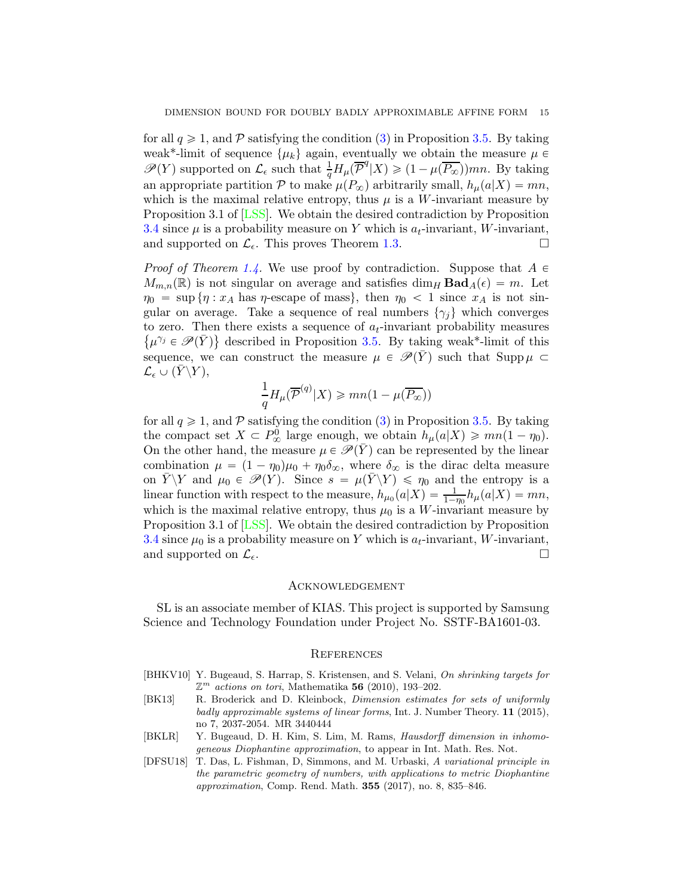for all  $q \geq 1$ , and P satisfying the condition [\(3\)](#page-11-2) in Proposition [3.5.](#page-11-3) By taking weak<sup>\*</sup>-limit of sequence  $\{\mu_k\}$  again, eventually we obtain the measure  $\mu \in$  $\mathscr{P}(Y)$  supported on  $\mathcal{L}_{\epsilon}$  such that  $\frac{1}{q}H_{\mu}(\overline{\mathcal{P}}^{q}|X)\geqslant(1-\mu(\overline{P_{\infty}}))mn$ . By taking an appropriate partition  $P$  to make  $\mu(P_{\infty})$  arbitrarily small,  $h_{\mu}(a|X) = mn$ , which is the maximal relative entropy, thus  $\mu$  is a W-invariant measure by Proposition 3.1 of [\[LSS\]](#page-15-5). We obtain the desired contradiction by Proposition [3.4](#page-9-0) since  $\mu$  is a probability measure on Y which is  $a_t$ -invariant, W-invariant, and supported on  $\mathcal{L}_{\epsilon}$ . This proves Theorem [1.3.](#page-1-1)

*Proof of Theorem [1.4.](#page-2-0)* We use proof by contradiction. Suppose that  $A \in$  $M_{m,n}(\mathbb{R})$  is not singular on average and satisfies dim<sub>H</sub> Bad<sub>A</sub>( $\epsilon$ ) = m. Let  $\eta_0 = \sup \{\eta : x_A \text{ has } \eta \text{-escape of mass}\},\$  then  $\eta_0 < 1$  since  $x_A$  is not singular on average. Take a sequence of real numbers  $\{\gamma_i\}$  which converges to zero. Then there exists a sequence of  $a_t$ -invariant probability measures  $\{\mu^{\gamma_j} \in \mathscr{P}(\bar{Y})\}$  described in Proposition [3.5.](#page-11-3) By taking weak\*-limit of this sequence, we can construct the measure  $\mu \in \mathscr{P}(\bar{Y})$  such that Supp $\mu \subset$  $\mathcal{L}_{\epsilon} \cup (Y\backslash Y),$ 

$$
\frac{1}{q}H_\mu(\overline{\mathcal{P}}^{(q)}|X) \geqslant mn(1-\mu(\overline{P_\infty}))
$$

for all  $q \geq 1$ , and P satisfying the condition [\(3\)](#page-5-2) in Proposition [3.5.](#page-11-3) By taking the compact set  $X \subset P^0_{\infty}$  large enough, we obtain  $h_{\mu}(a|X) \geqslant mn(1 - \eta_0)$ . On the other hand, the measure  $\mu \in \mathscr{P}(\bar{Y})$  can be represented by the linear combination  $\mu = (1 - \eta_0)\mu_0 + \eta_0\delta_\infty$ , where  $\delta_\infty$  is the dirac delta measure on  $\overline{Y}\backslash Y$  and  $\mu_0 \in \mathscr{P}(Y)$ . Since  $s = \mu(\overline{Y}\backslash Y) \leq \eta_0$  and the entropy is a linear function with respect to the measure,  $h_{\mu_0}(a|X) = \frac{1}{1-\eta_0}h_{\mu}(a|X) = mn$ , which is the maximal relative entropy, thus  $\mu_0$  is a W-invariant measure by Proposition 3.1 of [\[LSS\]](#page-15-5). We obtain the desired contradiction by Proposition [3.4](#page-9-0) since  $\mu_0$  is a probability measure on Y which is  $a_t$ -invariant, W-invariant, and supported on  $\mathcal{L}_{\epsilon}$ .

## Acknowledgement

SL is an associate member of KIAS. This project is supported by Samsung Science and Technology Foundation under Project No. SSTF-BA1601-03.

### **REFERENCES**

- <span id="page-14-0"></span>[BHKV10] Y. Bugeaud, S. Harrap, S. Kristensen, and S. Velani, On shrinking targets for  $\mathbb{Z}^m$  actions on tori, Mathematika 56 (2010), 193-202.
- <span id="page-14-1"></span>[BK13] R. Broderick and D. Kleinbock, Dimension estimates for sets of uniformly badly approximable systems of linear forms, Int. J. Number Theory. 11 (2015), no 7, 2037-2054. MR 3440444
- <span id="page-14-2"></span>[BKLR] Y. Bugeaud, D. H. Kim, S. Lim, M. Rams, Hausdorff dimension in inhomogeneous Diophantine approximation, to appear in Int. Math. Res. Not.
- <span id="page-14-3"></span>[DFSU18] T. Das, L. Fishman, D, Simmons, and M. Urbaski, A variational principle in the parametric geometry of numbers, with applications to metric Diophantine approximation, Comp. Rend. Math. 355 (2017), no. 8, 835–846.